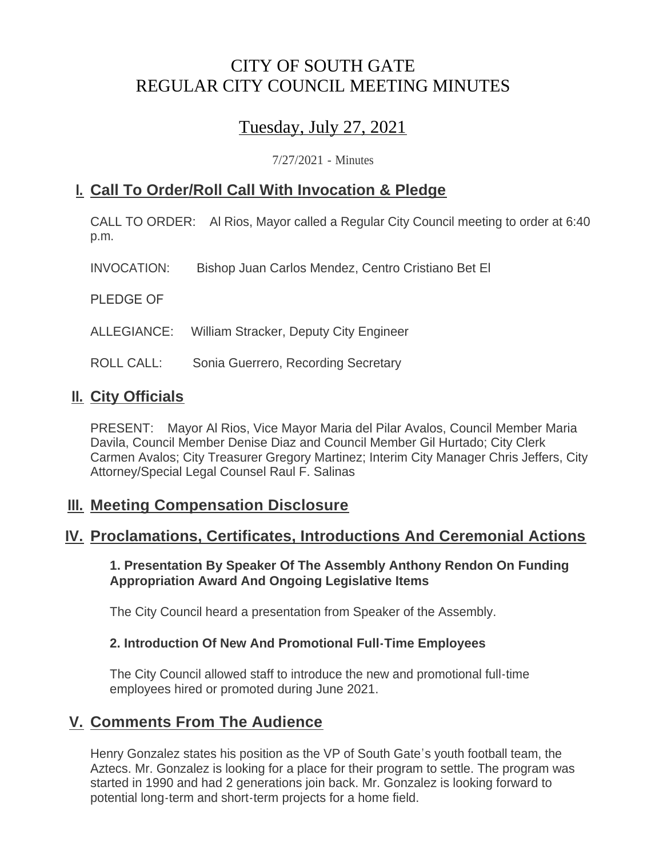# CITY OF SOUTH GATE REGULAR CITY COUNCIL MEETING MINUTES

# Tuesday, July 27, 2021

7/27/2021 - Minutes

## **Call To Order/Roll Call With Invocation & Pledge I.**

CALL TO ORDER: Al Rios, Mayor called a Regular City Council meeting to order at 6:40 p.m.

INVOCATION: Bishop Juan Carlos Mendez, Centro Cristiano Bet El

PLEDGE OF

ALLEGIANCE: William Stracker, Deputy City Engineer

ROLL CALL: Sonia Guerrero, Recording Secretary

## **II.** City Officials

PRESENT: Mayor Al Rios, Vice Mayor Maria del Pilar Avalos, Council Member Maria Davila, Council Member Denise Diaz and Council Member Gil Hurtado; City Clerk Carmen Avalos; City Treasurer Gregory Martinez; Interim City Manager Chris Jeffers, City Attorney/Special Legal Counsel Raul F. Salinas

## **Meeting Compensation Disclosure III.**

## **Proclamations, Certificates, Introductions And Ceremonial Actions IV.**

**1. Presentation By Speaker Of The Assembly Anthony Rendon On Funding Appropriation Award And Ongoing Legislative Items**

The City Council heard a presentation from Speaker of the Assembly.

## **2. Introduction Of New And Promotional Full-Time Employees**

The City Council allowed staff to introduce the new and promotional full-time employees hired or promoted during June 2021.

## **Comments From The Audience V.**

Henry Gonzalez states his position as the VP of South Gate's youth football team, the Aztecs. Mr. Gonzalez is looking for a place for their program to settle. The program was started in 1990 and had 2 generations join back. Mr. Gonzalez is looking forward to potential long-term and short-term projects for a home field.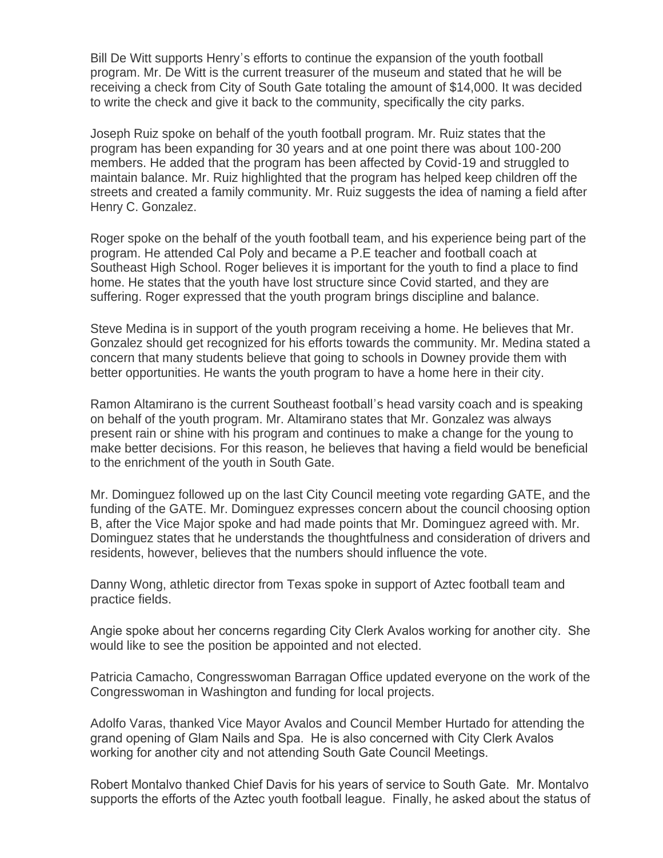Bill De Witt supports Henry's efforts to continue the expansion of the youth football program. Mr. De Witt is the current treasurer of the museum and stated that he will be receiving a check from City of South Gate totaling the amount of \$14,000. It was decided to write the check and give it back to the community, specifically the city parks.

Joseph Ruiz spoke on behalf of the youth football program. Mr. Ruiz states that the program has been expanding for 30 years and at one point there was about 100-200 members. He added that the program has been affected by Covid-19 and struggled to maintain balance. Mr. Ruiz highlighted that the program has helped keep children off the streets and created a family community. Mr. Ruiz suggests the idea of naming a field after Henry C. Gonzalez.

Roger spoke on the behalf of the youth football team, and his experience being part of the program. He attended Cal Poly and became a P.E teacher and football coach at Southeast High School. Roger believes it is important for the youth to find a place to find home. He states that the youth have lost structure since Covid started, and they are suffering. Roger expressed that the youth program brings discipline and balance.

Steve Medina is in support of the youth program receiving a home. He believes that Mr. Gonzalez should get recognized for his efforts towards the community. Mr. Medina stated a concern that many students believe that going to schools in Downey provide them with better opportunities. He wants the youth program to have a home here in their city.

Ramon Altamirano is the current Southeast football's head varsity coach and is speaking on behalf of the youth program. Mr. Altamirano states that Mr. Gonzalez was always present rain or shine with his program and continues to make a change for the young to make better decisions. For this reason, he believes that having a field would be beneficial to the enrichment of the youth in South Gate.

Mr. Dominguez followed up on the last City Council meeting vote regarding GATE, and the funding of the GATE. Mr. Dominguez expresses concern about the council choosing option B, after the Vice Major spoke and had made points that Mr. Dominguez agreed with. Mr. Dominguez states that he understands the thoughtfulness and consideration of drivers and residents, however, believes that the numbers should influence the vote.

Danny Wong, athletic director from Texas spoke in support of Aztec football team and practice fields.

Angie spoke about her concerns regarding City Clerk Avalos working for another city. She would like to see the position be appointed and not elected.

Patricia Camacho, Congresswoman Barragan Office updated everyone on the work of the Congresswoman in Washington and funding for local projects.

Adolfo Varas, thanked Vice Mayor Avalos and Council Member Hurtado for attending the grand opening of Glam Nails and Spa. He is also concerned with City Clerk Avalos working for another city and not attending South Gate Council Meetings.

Robert Montalvo thanked Chief Davis for his years of service to South Gate. Mr. Montalvo supports the efforts of the Aztec youth football league. Finally, he asked about the status of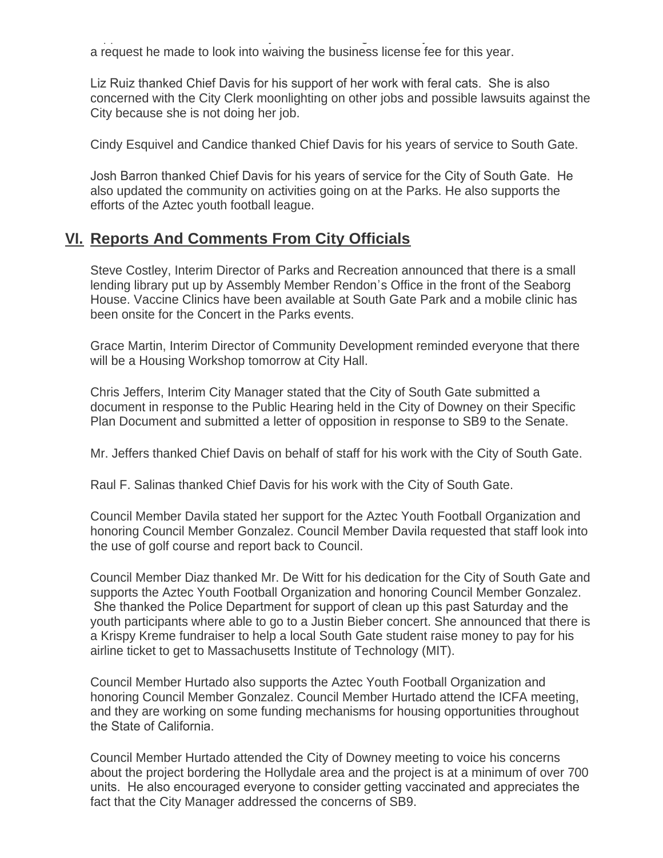supports the efforts of the Aztec youth football league. Finally, he asked about the status of a request he made to look into waiving the business license fee for this year.

Liz Ruiz thanked Chief Davis for his support of her work with feral cats. She is also concerned with the City Clerk moonlighting on other jobs and possible lawsuits against the City because she is not doing her job.

Cindy Esquivel and Candice thanked Chief Davis for his years of service to South Gate.

Josh Barron thanked Chief Davis for his years of service for the City of South Gate. He also updated the community on activities going on at the Parks. He also supports the efforts of the Aztec youth football league.

## **Reports And Comments From City Officials VI.**

Steve Costley, Interim Director of Parks and Recreation announced that there is a small lending library put up by Assembly Member Rendon's Office in the front of the Seaborg House. Vaccine Clinics have been available at South Gate Park and a mobile clinic has been onsite for the Concert in the Parks events.

Grace Martin, Interim Director of Community Development reminded everyone that there will be a Housing Workshop tomorrow at City Hall.

Chris Jeffers, Interim City Manager stated that the City of South Gate submitted a document in response to the Public Hearing held in the City of Downey on their Specific Plan Document and submitted a letter of opposition in response to SB9 to the Senate.

Mr. Jeffers thanked Chief Davis on behalf of staff for his work with the City of South Gate.

Raul F. Salinas thanked Chief Davis for his work with the City of South Gate.

Council Member Davila stated her support for the Aztec Youth Football Organization and honoring Council Member Gonzalez. Council Member Davila requested that staff look into the use of golf course and report back to Council.

Council Member Diaz thanked Mr. De Witt for his dedication for the City of South Gate and supports the Aztec Youth Football Organization and honoring Council Member Gonzalez. She thanked the Police Department for support of clean up this past Saturday and the youth participants where able to go to a Justin Bieber concert. She announced that there is a Krispy Kreme fundraiser to help a local South Gate student raise money to pay for his airline ticket to get to Massachusetts Institute of Technology (MIT).

Council Member Hurtado also supports the Aztec Youth Football Organization and honoring Council Member Gonzalez. Council Member Hurtado attend the ICFA meeting, and they are working on some funding mechanisms for housing opportunities throughout the State of California.

Council Member Hurtado attended the City of Downey meeting to voice his concerns about the project bordering the Hollydale area and the project is at a minimum of over 700 units. He also encouraged everyone to consider getting vaccinated and appreciates the fact that the City Manager addressed the concerns of SB9.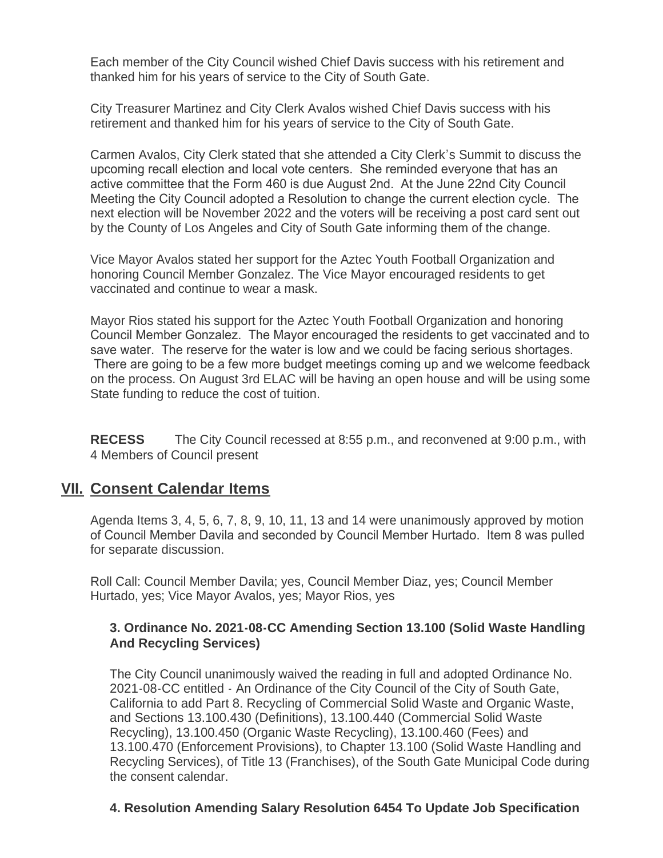Each member of the City Council wished Chief Davis success with his retirement and thanked him for his years of service to the City of South Gate.

City Treasurer Martinez and City Clerk Avalos wished Chief Davis success with his retirement and thanked him for his years of service to the City of South Gate.

Carmen Avalos, City Clerk stated that she attended a City Clerk's Summit to discuss the upcoming recall election and local vote centers. She reminded everyone that has an active committee that the Form 460 is due August 2nd. At the June 22nd City Council Meeting the City Council adopted a Resolution to change the current election cycle. The next election will be November 2022 and the voters will be receiving a post card sent out by the County of Los Angeles and City of South Gate informing them of the change.

Vice Mayor Avalos stated her support for the Aztec Youth Football Organization and honoring Council Member Gonzalez. The Vice Mayor encouraged residents to get vaccinated and continue to wear a mask.

Mayor Rios stated his support for the Aztec Youth Football Organization and honoring Council Member Gonzalez. The Mayor encouraged the residents to get vaccinated and to save water. The reserve for the water is low and we could be facing serious shortages. There are going to be a few more budget meetings coming up and we welcome feedback on the process. On August 3rd ELAC will be having an open house and will be using some State funding to reduce the cost of tuition.

**RECESS** The City Council recessed at 8:55 p.m., and reconvened at 9:00 p.m., with 4 Members of Council present

## **Consent Calendar Items VII.**

Agenda Items 3, 4, 5, 6, 7, 8, 9, 10, 11, 13 and 14 were unanimously approved by motion of Council Member Davila and seconded by Council Member Hurtado. Item 8 was pulled for separate discussion.

Roll Call: Council Member Davila; yes, Council Member Diaz, yes; Council Member Hurtado, yes; Vice Mayor Avalos, yes; Mayor Rios, yes

### **3. Ordinance No. 2021-08-CC Amending Section 13.100 (Solid Waste Handling And Recycling Services)**

The City Council unanimously waived the reading in full and adopted Ordinance No. 2021-08-CC entitled - An Ordinance of the City Council of the City of South Gate, California to add Part 8. Recycling of Commercial Solid Waste and Organic Waste, and Sections 13.100.430 (Definitions), 13.100.440 (Commercial Solid Waste Recycling), 13.100.450 (Organic Waste Recycling), 13.100.460 (Fees) and 13.100.470 (Enforcement Provisions), to Chapter 13.100 (Solid Waste Handling and Recycling Services), of Title 13 (Franchises), of the South Gate Municipal Code during the consent calendar.

## **4. Resolution Amending Salary Resolution 6454 To Update Job Specification**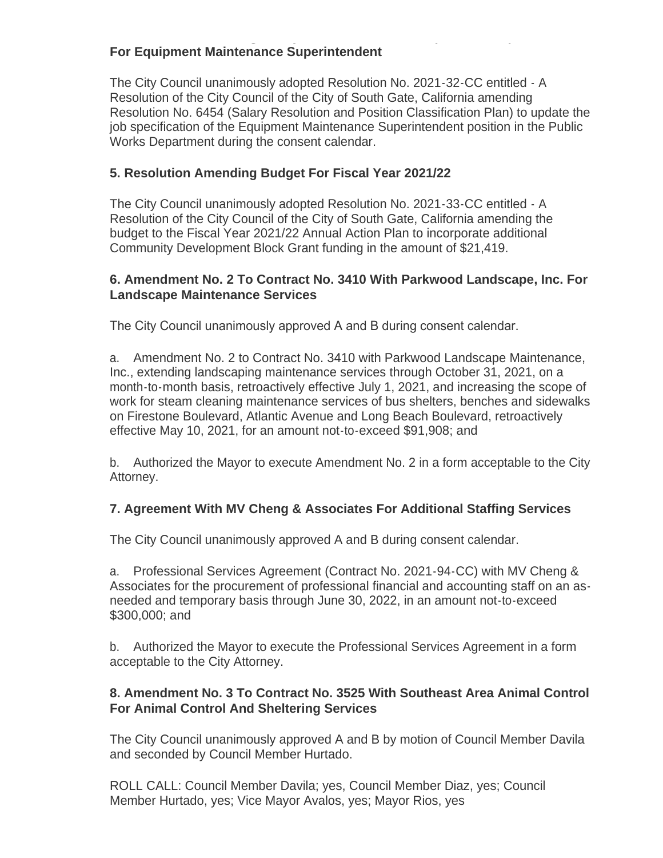#### **4. Resolution Amending Salary Resolution 6454 To Update Job Specification For Equipment Maintenance Superintendent**

The City Council unanimously adopted Resolution No. 2021-32-CC entitled - A Resolution of the City Council of the City of South Gate, California amending Resolution No. 6454 (Salary Resolution and Position Classification Plan) to update the job specification of the Equipment Maintenance Superintendent position in the Public Works Department during the consent calendar.

## **5. Resolution Amending Budget For Fiscal Year 2021/22**

The City Council unanimously adopted Resolution No. 2021-33-CC entitled - A Resolution of the City Council of the City of South Gate, California amending the budget to the Fiscal Year 2021/22 Annual Action Plan to incorporate additional Community Development Block Grant funding in the amount of \$21,419.

#### **6. Amendment No. 2 To Contract No. 3410 With Parkwood Landscape, Inc. For Landscape Maintenance Services**

The City Council unanimously approved A and B during consent calendar.

a. Amendment No. 2 to Contract No. 3410 with Parkwood Landscape Maintenance, Inc., extending landscaping maintenance services through October 31, 2021, on a month-to-month basis, retroactively effective July 1, 2021, and increasing the scope of work for steam cleaning maintenance services of bus shelters, benches and sidewalks on Firestone Boulevard, Atlantic Avenue and Long Beach Boulevard, retroactively effective May 10, 2021, for an amount not-to-exceed \$91,908; and

b. Authorized the Mayor to execute Amendment No. 2 in a form acceptable to the City Attorney.

#### **7. Agreement With MV Cheng & Associates For Additional Staffing Services**

The City Council unanimously approved A and B during consent calendar.

a. Professional Services Agreement (Contract No. 2021-94-CC) with MV Cheng & Associates for the procurement of professional financial and accounting staff on an asneeded and temporary basis through June 30, 2022, in an amount not-to-exceed \$300,000; and

b. Authorized the Mayor to execute the Professional Services Agreement in a form acceptable to the City Attorney.

### **8. Amendment No. 3 To Contract No. 3525 With Southeast Area Animal Control For Animal Control And Sheltering Services**

The City Council unanimously approved A and B by motion of Council Member Davila and seconded by Council Member Hurtado.

ROLL CALL: Council Member Davila; yes, Council Member Diaz, yes; Council Member Hurtado, yes; Vice Mayor Avalos, yes; Mayor Rios, yes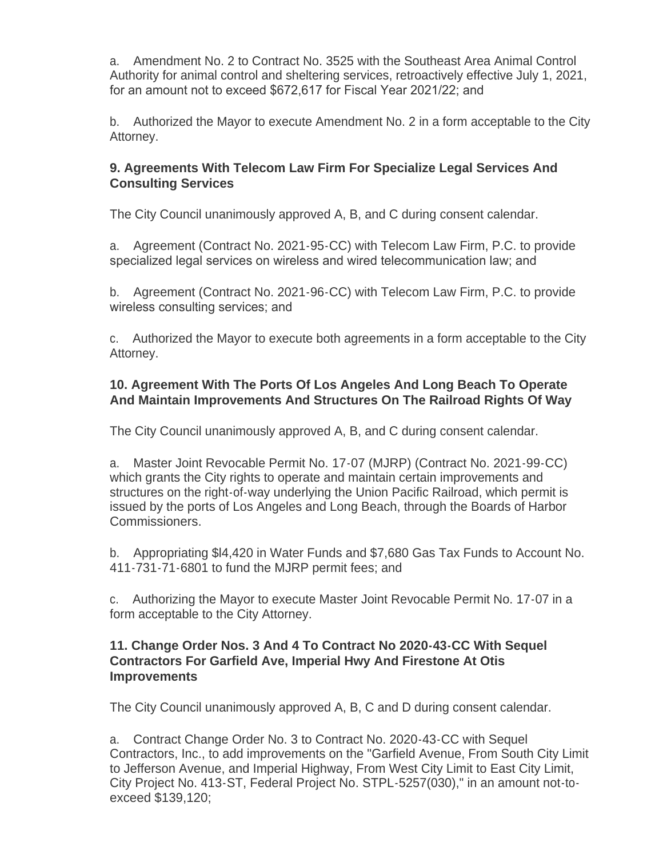a. Amendment No. 2 to Contract No. 3525 with the Southeast Area Animal Control Authority for animal control and sheltering services, retroactively effective July 1, 2021, for an amount not to exceed \$672,617 for Fiscal Year 2021/22; and

b. Authorized the Mayor to execute Amendment No. 2 in a form acceptable to the City Attorney.

## **9. Agreements With Telecom Law Firm For Specialize Legal Services And Consulting Services**

The City Council unanimously approved A, B, and C during consent calendar.

a. Agreement (Contract No. 2021-95-CC) with Telecom Law Firm, P.C. to provide specialized legal services on wireless and wired telecommunication law; and

b. Agreement (Contract No. 2021-96-CC) with Telecom Law Firm, P.C. to provide wireless consulting services; and

c. Authorized the Mayor to execute both agreements in a form acceptable to the City Attorney.

## **10. Agreement With The Ports Of Los Angeles And Long Beach To Operate And Maintain Improvements And Structures On The Railroad Rights Of Way**

The City Council unanimously approved A, B, and C during consent calendar.

a. Master Joint Revocable Permit No. 17-07 (MJRP) (Contract No. 2021-99-CC) which grants the City rights to operate and maintain certain improvements and structures on the right-of-way underlying the Union Pacific Railroad, which permit is issued by the ports of Los Angeles and Long Beach, through the Boards of Harbor Commissioners.

b. Appropriating \$l4,420 in Water Funds and \$7,680 Gas Tax Funds to Account No. 411-731-71-6801 to fund the MJRP permit fees; and

c. Authorizing the Mayor to execute Master Joint Revocable Permit No. 17-07 in a form acceptable to the City Attorney.

### **11. Change Order Nos. 3 And 4 To Contract No 2020-43-CC With Sequel Contractors For Garfield Ave, Imperial Hwy And Firestone At Otis Improvements**

The City Council unanimously approved A, B, C and D during consent calendar.

a. Contract Change Order No. 3 to Contract No. 2020-43-CC with Sequel Contractors, Inc., to add improvements on the "Garfield Avenue, From South City Limit to Jefferson Avenue, and Imperial Highway, From West City Limit to East City Limit, City Project No. 413-ST, Federal Project No. STPL-5257(030)," in an amount not-toexceed \$139,120;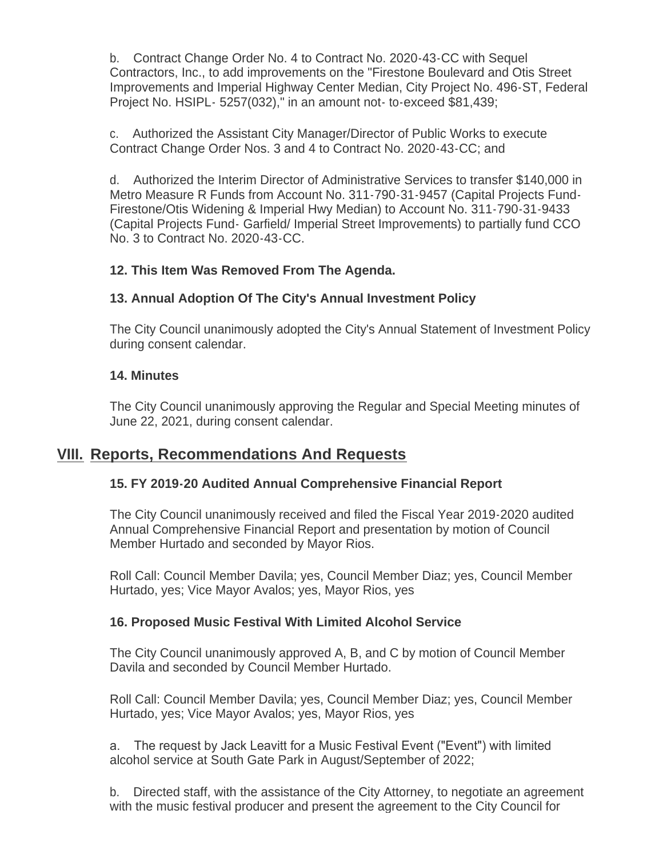b. Contract Change Order No. 4 to Contract No. 2020-43-CC with Sequel Contractors, Inc., to add improvements on the "Firestone Boulevard and Otis Street Improvements and Imperial Highway Center Median, City Project No. 496-ST, Federal Project No. HSIPL- 5257(032)," in an amount not- to-exceed \$81,439;

c. Authorized the Assistant City Manager/Director of Public Works to execute Contract Change Order Nos. 3 and 4 to Contract No. 2020-43-CC; and

d. Authorized the Interim Director of Administrative Services to transfer \$140,000 in Metro Measure R Funds from Account No. 311-790-31-9457 (Capital Projects Fund-Firestone/Otis Widening & Imperial Hwy Median) to Account No. 311-790-31-9433 (Capital Projects Fund- Garfield/ Imperial Street Improvements) to partially fund CCO No. 3 to Contract No. 2020-43-CC.

## **12. This Item Was Removed From The Agenda.**

## **13. Annual Adoption Of The City's Annual Investment Policy**

The City Council unanimously adopted the City's Annual Statement of Investment Policy during consent calendar.

## **14. Minutes**

The City Council unanimously approving the Regular and Special Meeting minutes of June 22, 2021, during consent calendar.

## **Reports, Recommendations And Requests VIII.**

## **15. FY 2019-20 Audited Annual Comprehensive Financial Report**

The City Council unanimously received and filed the Fiscal Year 2019-2020 audited Annual Comprehensive Financial Report and presentation by motion of Council Member Hurtado and seconded by Mayor Rios.

Roll Call: Council Member Davila; yes, Council Member Diaz; yes, Council Member Hurtado, yes; Vice Mayor Avalos; yes, Mayor Rios, yes

## **16. Proposed Music Festival With Limited Alcohol Service**

The City Council unanimously approved A, B, and C by motion of Council Member Davila and seconded by Council Member Hurtado.

Roll Call: Council Member Davila; yes, Council Member Diaz; yes, Council Member Hurtado, yes; Vice Mayor Avalos; yes, Mayor Rios, yes

a. The request by Jack Leavitt for a Music Festival Event ("Event") with limited alcohol service at South Gate Park in August/September of 2022;

b. Directed staff, with the assistance of the City Attorney, to negotiate an agreement with the music festival producer and present the agreement to the City Council for